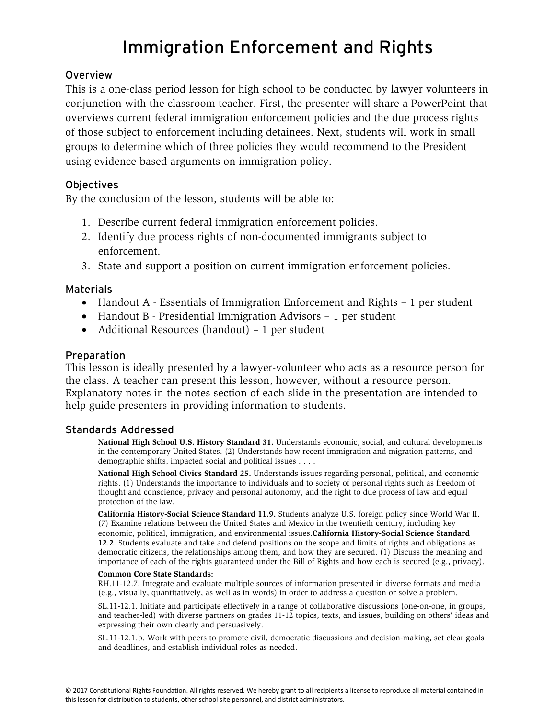# Immigration Enforcement and Rights

## Overview

This is a one-class period lesson for high school to be conducted by lawyer volunteers in conjunction with the classroom teacher. First, the presenter will share a PowerPoint that overviews current federal immigration enforcement policies and the due process rights of those subject to enforcement including detainees. Next, students will work in small groups to determine which of three policies they would recommend to the President using evidence-based arguments on immigration policy.

## Objectives

By the conclusion of the lesson, students will be able to:

- 1. Describe current federal immigration enforcement policies.
- 2. Identify due process rights of non-documented immigrants subject to enforcement.
- 3. State and support a position on current immigration enforcement policies.

## Materials

- Handout A Essentials of Immigration Enforcement and Rights 1 per student
- Handout B Presidential Immigration Advisors 1 per student
- Additional Resources (handout) 1 per student

## Preparation

This lesson is ideally presented by a lawyer-volunteer who acts as a resource person for the class. A teacher can present this lesson, however, without a resource person. Explanatory notes in the notes section of each slide in the presentation are intended to help guide presenters in providing information to students.

## Standards Addressed

**National High School U.S. History Standard 31.** Understands economic, social, and cultural developments in the contemporary United States. (2) Understands how recent immigration and migration patterns, and demographic shifts, impacted social and political issues . . . .

**National High School Civics Standard 25.** Understands issues regarding personal, political, and economic rights. (1) Understands the importance to individuals and to society of personal rights such as freedom of thought and conscience, privacy and personal autonomy, and the right to due process of law and equal protection of the law.

**California History-Social Science Standard 11.9.** Students analyze U.S. foreign policy since World War II. (7) Examine relations between the United States and Mexico in the twentieth century, including key economic, political, immigration, and environmental issues.**California History-Social Science Standard 12.2.** Students evaluate and take and defend positions on the scope and limits of rights and obligations as democratic citizens, the relationships among them, and how they are secured. (1) Discuss the meaning and importance of each of the rights guaranteed under the Bill of Rights and how each is secured (e.g., privacy).

#### **Common Core State Standards:**

RH.11-12.7. Integrate and evaluate multiple sources of information presented in diverse formats and media (e.g., visually, quantitatively, as well as in words) in order to address a question or solve a problem.

SL.11-12.1. Initiate and participate effectively in a range of collaborative discussions (one-on-one, in groups, and teacher-led) with diverse partners on grades 11-12 topics, texts, and issues, building on others' ideas and expressing their own clearly and persuasively.

SL.11-12.1.b. Work with peers to promote civil, democratic discussions and decision-making, set clear goals and deadlines, and establish individual roles as needed.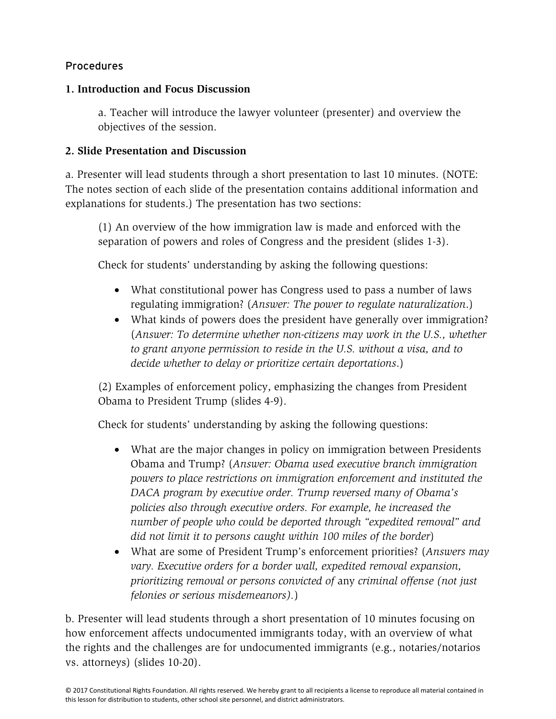# Procedures

# **1. Introduction and Focus Discussion**

a. Teacher will introduce the lawyer volunteer (presenter) and overview the objectives of the session.

## **2. Slide Presentation and Discussion**

a. Presenter will lead students through a short presentation to last 10 minutes. (NOTE: The notes section of each slide of the presentation contains additional information and explanations for students.) The presentation has two sections:

(1) An overview of the how immigration law is made and enforced with the separation of powers and roles of Congress and the president (slides 1-3).

Check for students' understanding by asking the following questions:

- What constitutional power has Congress used to pass a number of laws regulating immigration? (*Answer: The power to regulate naturalization*.)
- What kinds of powers does the president have generally over immigration? (*Answer: To determine whether non-citizens may work in the U.S., whether to grant anyone permission to reside in the U.S. without a visa, and to decide whether to delay or prioritize certain deportations*.)

(2) Examples of enforcement policy, emphasizing the changes from President Obama to President Trump (slides 4-9).

Check for students' understanding by asking the following questions:

- What are the major changes in policy on immigration between Presidents Obama and Trump? (*Answer: Obama used executive branch immigration powers to place restrictions on immigration enforcement and instituted the DACA program by executive order. Trump reversed many of Obama's policies also through executive orders. For example, he increased the number of people who could be deported through "expedited removal" and did not limit it to persons caught within 100 miles of the border*)
- What are some of President Trump's enforcement priorities? (*Answers may vary. Executive orders for a border wall, expedited removal expansion, prioritizing removal or persons convicted of* any *criminal offense (not just felonies or serious misdemeanors).*)

b. Presenter will lead students through a short presentation of 10 minutes focusing on how enforcement affects undocumented immigrants today, with an overview of what the rights and the challenges are for undocumented immigrants (e.g., notaries/notarios vs. attorneys) (slides 10-20).